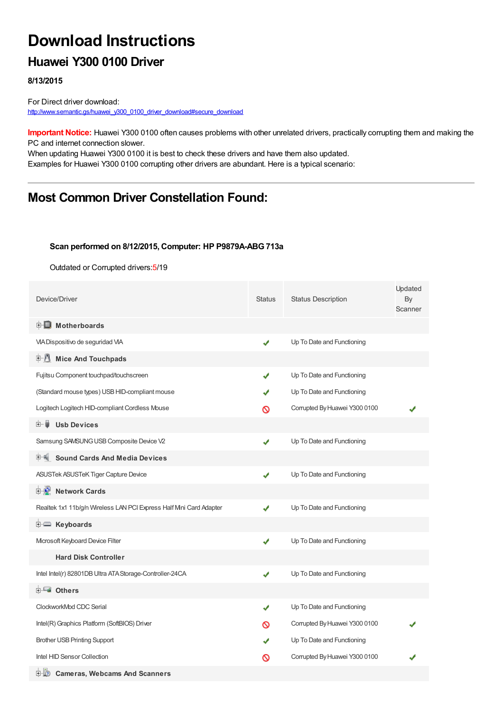# **Download Instructions**

### **Huawei Y300 0100 Driver**

**8/13/2015**

For Direct driver download: [http://www.semantic.gs/huawei\\_y300\\_0100\\_driver\\_download#secure\\_download](http://www.semantic.gs/huawei_y300_0100_driver_download#secure_download)

**Important Notice:** Huawei Y300 0100 often causes problems with other unrelated drivers, practically corrupting them and making the PC and internet connection slower.

When updating Huawei Y300 0100 it is best to check these drivers and have them also updated. Examples for Huawei Y300 0100 corrupting other drivers are abundant. Here is a typical scenario:

## **Most Common Driver Constellation Found:**

#### **Scan performed on 8/12/2015, Computer: HP P9879A-ABG713a**

Outdated or Corrupted drivers:5/19

| Device/Driver                                                      | <b>Status</b> | <b>Status Description</b>     | Updated<br>By<br>Scanner |
|--------------------------------------------------------------------|---------------|-------------------------------|--------------------------|
| <b>E</b> Motherboards                                              |               |                               |                          |
| VIA Dispositivo de seguridad VIA                                   | ✔             | Up To Date and Functioning    |                          |
| E-U<br><b>Mice And Touchpads</b>                                   |               |                               |                          |
| Fujitsu Component touchpad/touchscreen                             | ✔             | Up To Date and Functioning    |                          |
| (Standard mouse types) USB HID-compliant mouse                     |               | Up To Date and Functioning    |                          |
| Logitech Logitech HID-compliant Cordless Mouse                     | ര             | Corrupted By Huawei Y300 0100 |                          |
| <b>Usb Devices</b><br>田一尊                                          |               |                               |                          |
| Samsung SAMSUNG USB Composite Device V2                            | ✔             | Up To Date and Functioning    |                          |
| 中 <sup>制</sup> Sound Cards And Media Devices                       |               |                               |                          |
| ASUSTek ASUSTeK Tiger Capture Device                               | ✔             | Up To Date and Functioning    |                          |
| <b>E-D</b> Network Cards                                           |               |                               |                          |
| Realtek 1x1 11b/g/n Wireless LAN PCI Express Half Mni Card Adapter | ✔             | Up To Date and Functioning    |                          |
| <b>i</b> Keyboards                                                 |               |                               |                          |
| Microsoft Keyboard Device Filter                                   | ✔             | Up To Date and Functioning    |                          |
| <b>Hard Disk Controller</b>                                        |               |                               |                          |
| Intel Intel(r) 82801DB Ultra ATA Storage-Controller-24CA           | ✔             | Up To Date and Functioning    |                          |
| <b>E</b> Others                                                    |               |                               |                          |
| ClockworkMod CDC Serial                                            | ✔             | Up To Date and Functioning    |                          |
| Intel(R) Graphics Platform (SoftBIOS) Driver                       | ര             | Corrupted By Huawei Y300 0100 |                          |
| <b>Brother USB Printing Support</b>                                |               | Up To Date and Functioning    |                          |
| Intel HID Sensor Collection                                        | ര             | Corrupted By Huawei Y300 0100 |                          |
| <b>E-12</b> Cameras, Webcams And Scanners                          |               |                               |                          |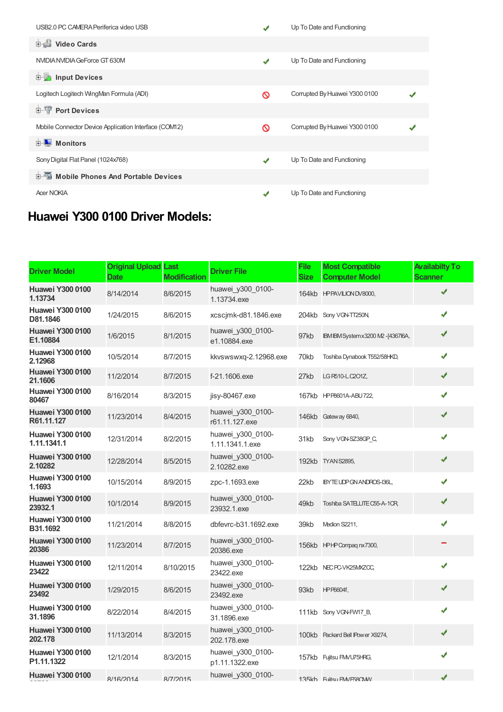| USB2.0 PC CAMERA Periferica video USB                 |   | Up To Date and Functioning    |  |
|-------------------------------------------------------|---|-------------------------------|--|
| <b>Dideo Cards</b>                                    |   |                               |  |
| NVIDIA NVIDIA GeForce GT 630M                         | ✔ | Up To Date and Functioning    |  |
| <b>E</b> Input Devices                                |   |                               |  |
| Logitech Logitech WingMan Formula (ADI)               | ര | Corrupted By Huawei Y300 0100 |  |
| <b>E-</b> Port Devices                                |   |                               |  |
| Mobile Connector Device Application Interface (COM12) | ര | Corrupted By Huawei Y300 0100 |  |
| Monitors<br>中山                                        |   |                               |  |
| Sony Digital Flat Panel (1024x768)                    | ✔ | Up To Date and Functioning    |  |
| 中国 Mobile Phones And Portable Devices                 |   |                               |  |
| <b>Acer NOKIA</b>                                     | ✔ | Up To Date and Functioning    |  |

# **Huawei Y300 0100 Driver Models:**

| <b>Driver Model</b>                    | <b>Original Upload Last</b><br>Date | <b>Modification</b> | <b>Driver File</b>                   | File<br><b>Size</b> | <b>Most Compatible</b><br><b>Computer Model</b> | <b>Availabilty To</b><br><b>Scanner</b> |
|----------------------------------------|-------------------------------------|---------------------|--------------------------------------|---------------------|-------------------------------------------------|-----------------------------------------|
| <b>Huawei Y300 0100</b><br>1.13734     | 8/14/2014                           | 8/6/2015            | huawei_y300_0100-<br>1.13734.exe     |                     | 164kb HPPAVILION DV8000,                        | ✔                                       |
| <b>Huawei Y300 0100</b><br>D81.1846    | 1/24/2015                           | 8/6/2015            | xcscimk-d81.1846.exe                 |                     | 204kb Sony VGN-TT250N                           | ✔                                       |
| <b>Huawei Y300 0100</b><br>E1.10884    | 1/6/2015                            | 8/1/2015            | huawei y300 0100-<br>e1.10884.exe    | 97kb                | IBM IBM System x 3200 M2 - [436716A,            | ✔                                       |
| <b>Huawei Y300 0100</b><br>2.12968     | 10/5/2014                           | 8/7/2015            | kkvswswxq-2.12968.exe                | 70kb                | Toshiba Dynabook T552/58HKD,                    | ✔                                       |
| <b>Huawei Y300 0100</b><br>21.1606     | 11/2/2014                           | 8/7/2015            | f-21.1606.exe                        | 27kb                | LG R510-L.C201Z,                                | ✔                                       |
| <b>Huawei Y300 0100</b><br>80467       | 8/16/2014                           | 8/3/2015            | $i$ isy-80467.exe                    |                     | 167kb HPP8601A-ABU722,                          | ✔                                       |
| <b>Huawei Y300 0100</b><br>R61.11.127  | 11/23/2014                          | 8/4/2015            | huawei y300 0100-<br>r61.11.127.exe  |                     | 146kb Gateway 6840,                             | ✔                                       |
| <b>Huawei Y300 0100</b><br>1.11.1341.1 | 12/31/2014                          | 8/2/2015            | huawei y300 0100-<br>1.11.1341.1.exe | 31kb                | Sony VGN-SZ38GP C,                              | ✔                                       |
| <b>Huawei Y300 0100</b><br>2.10282     | 12/28/2014                          | 8/5/2015            | huawei y300 0100-<br>2.10282.exe     |                     | 192kb TYAN S2895,                               | ✔                                       |
| <b>Huawei Y300 0100</b><br>1.1693      | 10/15/2014                          | 8/9/2015            | zpc-1.1693.exe                       | 22kb                | IBYTE UDP GN ANDROS-136L,                       | ✔                                       |
| <b>Huawei Y300 0100</b><br>23932.1     | 10/1/2014                           | 8/9/2015            | huawei y300 0100-<br>23932.1.exe     | 49kb                | Toshiba SATELLITE C55-A-1CR,                    | ✔                                       |
| <b>Huawei Y300 0100</b><br>B31.1692    | 11/21/2014                          | 8/8/2015            | dbfevrc-b31.1692.exe                 | 39kb                | Medion S2211,                                   | ✔                                       |
| <b>Huawei Y300 0100</b><br>20386       | 11/23/2014                          | 8/7/2015            | huawei_y300_0100-<br>20386.exe       |                     | 156kb HPHP Compagnx7300,                        |                                         |
| <b>Huawei Y300 0100</b><br>23422       | 12/11/2014                          | 8/10/2015           | huawei y300 0100-<br>23422.exe       |                     | 122kb NEC PC-VK25MXZCC,                         | ✔                                       |
| <b>Huawei Y300 0100</b><br>23492       | 1/29/2015                           | 8/6/2015            | huawei y300 0100-<br>23492.exe       | 93kb                | HP P6604f,                                      | ✔                                       |
| <b>Huawei Y300 0100</b><br>31.1896     | 8/22/2014                           | 8/4/2015            | huawei_y300_0100-<br>31.1896.exe     |                     | 111kb Sony VGN-FW17 B,                          | ✔                                       |
| <b>Huawei Y300 0100</b><br>202.178     | 11/13/2014                          | 8/3/2015            | huawei y300 0100-<br>202.178.exe     |                     | 100kb Packard Bell IPower X9274,                | ✔                                       |
| <b>Huawei Y300 0100</b><br>P1.11.1322  | 12/1/2014                           | 8/3/2015            | huawei_y300_0100-<br>p1.11.1322.exe  |                     | 157kb Fujitsu FMVU75HRG,                        | ✔                                       |
| <b>Huawei Y300 0100</b>                | 8/16/2014                           | 8/7/2015            | huawei_y300_0100-                    |                     | 135kh Fullitsu FM/F58CMV                        | ✔                                       |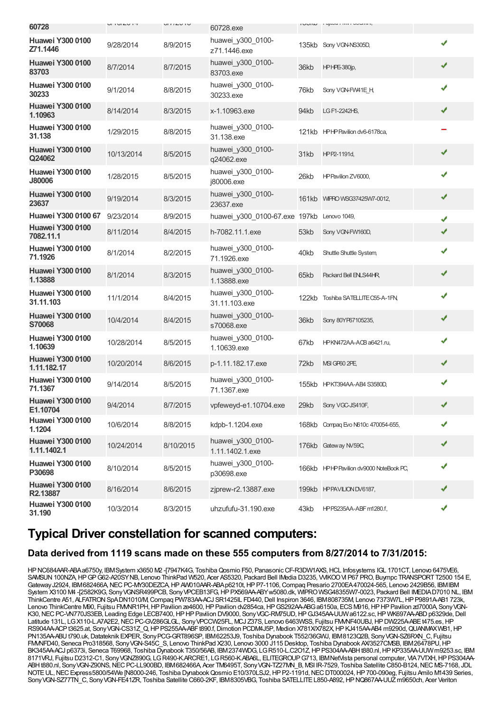| 60728                                    | $U1U1U1$   | U11LU1U   | 60728.exe                                  |      | <b>I UUIW</b> I UJIWU I IVIV I UUWIWI,  |   |
|------------------------------------------|------------|-----------|--------------------------------------------|------|-----------------------------------------|---|
| <b>Huawei Y300 0100</b><br>Z71.1446      | 9/28/2014  | 8/9/2015  | huawei y300 0100-<br>z71.1446.exe          |      | 135kb Sony VGN-NS305D,                  | ✔ |
| <b>Huawei Y300 0100</b><br>83703         | 8/7/2014   | 8/7/2015  | huawei_y300_0100-<br>83703.exe             | 36kb | <b>HPHPE-380jp,</b>                     | ✔ |
| <b>Huawei Y300 0100</b><br>30233         | 9/1/2014   | 8/8/2015  | huawei_y300_0100-<br>30233.exe             | 76kb | Sony VGN-FW41E H,                       | ✔ |
| <b>Huawei Y300 0100</b><br>1.10963       | 8/14/2014  | 8/3/2015  | x-1.10963.exe                              | 94kb | LG F1-2242HS,                           | ✔ |
| <b>Huawei Y300 0100</b><br>31.138        | 1/29/2015  | 8/8/2015  | huawei y300 0100-<br>31.138.exe            |      | 121kb HPHP Pavilion dv6-6178ca,         |   |
| <b>Huawei Y300 0100</b><br>Q24062        | 10/13/2014 | 8/5/2015  | huawei_y300_0100-<br>q24062.exe            | 31kb | HPP2-1191d,                             | ✔ |
| <b>Huawei Y300 0100</b><br><b>J80006</b> | 1/28/2015  | 8/5/2015  | huawei_y300_0100-<br>j80006.exe            | 26kb | HP Pavilion ZV6000,                     | ✔ |
| <b>Huawei Y300 0100</b><br>23637         | 9/19/2014  | 8/3/2015  | huawei_y300_0100-<br>23637.exe             |      | 161kb WIFRO WSG37425W7-0012,            | ✔ |
| Huawei Y300 0100 67                      | 9/23/2014  | 8/9/2015  | huawei y300 0100-67.exe 197kb Lenovo 1049, |      |                                         | ✔ |
| <b>Huawei Y300 0100</b><br>7082.11.1     | 8/11/2014  | 8/4/2015  | h-7082.11.1.exe                            | 53kb | Sony VGN-FW160D,                        | ✔ |
| <b>Huawei Y300 0100</b><br>71.1926       | 8/1/2014   | 8/2/2015  | huawei_y300_0100-<br>71.1926.exe           | 40kb | Shuttle Shuttle System,                 | ✔ |
| <b>Huawei Y300 0100</b><br>1.13888       | 8/1/2014   | 8/3/2015  | huawei_y300_0100-<br>1.13888.exe           | 65kb | Packard Bell EN_S44HR,                  | ✔ |
| <b>Huawei Y300 0100</b><br>31.11.103     | 11/1/2014  | 8/4/2015  | huawei_y300_0100-<br>31.11.103.exe         |      | 122kb Toshiba SATELLITE C55-A-1FN,      | ✔ |
| <b>Huawei Y300 0100</b><br>S70068        | 10/4/2014  | 8/4/2015  | huawei_y300_0100-<br>s70068.exe            | 36kb | Sony 80YP67105235,                      | ✔ |
| <b>Huawei Y300 0100</b><br>1.10639       | 10/28/2014 | 8/5/2015  | huawei_y300_0100-<br>1.10639.exe           | 67kb | HPKN472AA-ACB a6421.ru,                 | ✔ |
| <b>Huawei Y300 0100</b><br>1.11.182.17   | 10/20/2014 | 8/6/2015  | p-1.11.182.17.exe                          | 72kb | MSI GP60 2PE                            | ✔ |
| <b>Huawei Y300 0100</b><br>71.1367       | 9/14/2014  | 8/5/2015  | huawei_y300_0100-<br>71.1367.exe           |      | 155kb HPKT394AA-AB4 S3580D,             | ✔ |
| <b>Huawei Y300 0100</b><br>E1.10704      | 9/4/2014   | 8/7/2015  | vpfeweyd-e1.10704.exe                      | 29kb | Sony VGC-JS410F,                        | ✔ |
| <b>Huawei Y300 0100</b><br>1.1204        | 10/6/2014  | 8/8/2015  | kdpb-1.1204.exe                            |      | 168kb Compag Evo N610c 470054-655,      | ✔ |
| <b>Huawei Y300 0100</b><br>1.11.1402.1   | 10/24/2014 | 8/10/2015 | huawei_y300_0100-<br>1.11.1402.1.exe       |      | 176kb Gateway NV59C,                    | ✔ |
| <b>Huawei Y300 0100</b><br>P30698        | 8/10/2014  | 8/5/2015  | huawei_y300_0100-<br>p30698.exe            |      | 166kb HPHP Pavilion dv9000 NoteBook PC, | ✔ |
| <b>Huawei Y300 0100</b><br>R2.13887      | 8/16/2014  | 8/6/2015  | zjprew-r2.13887.exe                        |      | 199kb HPPAVILION DV6187,                | ✔ |
| <b>Huawei Y300 0100</b><br>31.190        | 10/3/2014  | 8/3/2015  | uhzufufu-31.190.exe                        | 43kb | HPPS235AA-ABF m1280.f,                  | ✔ |

### **Typical Driver constellation for scanned computers:**

#### **Data derived from 1119 scans made on these 555 computers from 8/27/2014 to 7/31/2015:**

HP NC684AAR-ABA a6750y, IBMSystem x3650 M2 -[7947K4G, Toshiba Qosmio F50, Panasonic CF-R3DW1AXS, HCL Infosystems IGL 1701CT, Lenovo 6475VE6, SAMSUN100NZA,HPGPG62-A20SYNB, Lenovo ThinkPad W520, Acer AS5320, Packard Bell IMedia D3235, VVIKOOVI P67 PRO, Buympc TRANSPORTT2500 154 E, Gateway J2924, IBM682466A, NEC PC-MY30DEZCA, HP AW010AAR-ABA p6210t, HP P7-1106, Compaq Presario 2700EA470024-565, Lenovo 2429B56, IBMIBM System X3100 M4 -[2582K9G, SonyVGNSR499PCB, SonyVPCEB13FG,HPPX569AA-ABYw5080.dk, WIPROWSG48355W7-0023, Packard Bell IMEDIAD7010 NL, IBM ThinkCentre A51, ALFATRON SpADN1010/M, Compaq PW783AA-ACJ SR1425IL FD440, Dell Inspiron 3646, IBM808735M, Lenovo 7373W7L, HP P9891A-AB1 723k, Lenovo ThinkCentre M90, Fujitsu FMMR1PH, HP Pavilion ze4600, HP Pavilion dv2854ca, HP GS292AA-ABG a6150a, ECS M916, HP HP Pavilion zd7000A Sony VGN-K30, NEC PC-VN770JS3EB, Leading Edge LECB7400, HP HP Pavilion DV9000, Sony VGC-RM75UD, HP GJ345AA-UUWa6122.sc, HP WK697AA-ABD p6329de, Dell Latitude 131L, LG X110-L.A7A2E2, NEC PC-GV286GLGL, Sony VPCCW25FL, MCJ Z37S, Lenovo 6463WSS, Fujitsu FMMF40UBJ, HP DW225A-ABE t475.es, HP RS904AA-ACPt3625.at, Sony VGN-CS31Z\_Q, HPPS255AA-ABFt890.f, Dimotion PCDM4J5P, Medion X781X/X782X, HPKJ415AA-AB4 m9290d, QUANMAXWB1, HP PN135AA-ABUt790.uk,Datateknik EXPER, SonyPCG-GRT896SP, IBM62253J9, Toshiba Dynabook T552/36GWJ, IBM8123Q2B, SonyVGN-SZ6RXN\_C, Fujitsu FMMFD40, Seneca Pro318568, Sony VGN-S45C S, Lenovo ThinkPad X230, Lenovo 3000 J115 Desktop, Toshiba Dynabook AX/3527CMSB, IBM26478PU, HP BK345AA-ACJ p6373i, Seneca T69968, Toshiba Dynabook T350/56AB, IBM2374WDG, LGR510-L.C2O1Z,HPPS304AA-ABHt880.nl,HPKP335AA-UUWm9253.sc, IBM 8171VRJ, Fujitsu D2312-C1, Sony VGNZ890G, LG R490-K.ARCRE1, LG R560-K.ABA6L, ELITEGROUP G713, IBMNetVista personal computer, VIA 7VTXH, HP PS304AA-ABH t880.nl, Sony VGN-Z90NS, NEC PC-LL900BD, IBM682466A, Acer TM6495T, Sony VGN-TZ27MN B, MSI IR-7529, Toshiba Satellite C850-B124, NEC MS-7168, JDL NOTE UL, NEC Express5800/54We [N8000-246, Toshiba Dynabook Qosmio E10/370LSJ2, HP P2-1191d, NEC DT000024, HP 700-090eg, Fujitsu Amilo M1439 Series, Sony VGN-SZ77TN\_C, Sony VGN-FE41ZR, Toshiba Satellite C660-2KF, IBM8305VBG, Toshiba SATELLITE L850-A892, HP NQ867AA-UUZ m9650ch, Acer Veriton